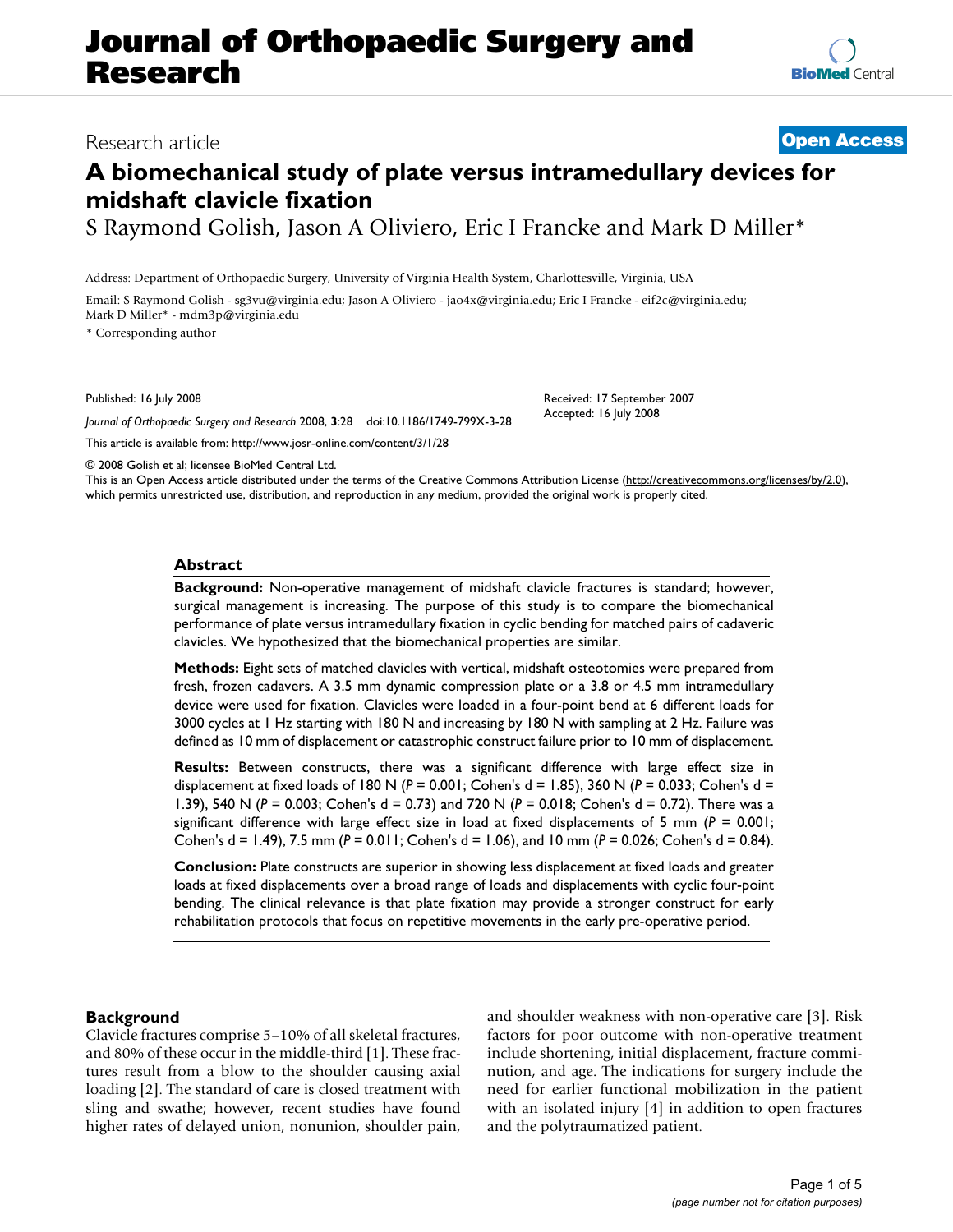# **Journal of Orthopaedic Surgery and Research**

# Research article **[Open Access](http://www.biomedcentral.com/info/about/charter/)**

# **A biomechanical study of plate versus intramedullary devices for midshaft clavicle fixation**

S Raymond Golish, Jason A Oliviero, Eric I Francke and Mark D Miller\*

Address: Department of Orthopaedic Surgery, University of Virginia Health System, Charlottesville, Virginia, USA

Email: S Raymond Golish - sg3vu@virginia.edu; Jason A Oliviero - jao4x@virginia.edu; Eric I Francke - eif2c@virginia.edu; Mark D Miller\* - mdm3p@virginia.edu

\* Corresponding author

Published: 16 July 2008

*Journal of Orthopaedic Surgery and Research* 2008, **3**:28 doi:10.1186/1749-799X-3-28

[This article is available from: http://www.josr-online.com/content/3/1/28](http://www.josr-online.com/content/3/1/28)

Accepted: 16 July 2008

© 2008 Golish et al; licensee BioMed Central Ltd.

This is an Open Access article distributed under the terms of the Creative Commons Attribution License [\(http://creativecommons.org/licenses/by/2.0\)](http://creativecommons.org/licenses/by/2.0), which permits unrestricted use, distribution, and reproduction in any medium, provided the original work is properly cited.

#### **Abstract**

**Background:** Non-operative management of midshaft clavicle fractures is standard; however, surgical management is increasing. The purpose of this study is to compare the biomechanical performance of plate versus intramedullary fixation in cyclic bending for matched pairs of cadaveric clavicles. We hypothesized that the biomechanical properties are similar.

**Methods:** Eight sets of matched clavicles with vertical, midshaft osteotomies were prepared from fresh, frozen cadavers. A 3.5 mm dynamic compression plate or a 3.8 or 4.5 mm intramedullary device were used for fixation. Clavicles were loaded in a four-point bend at 6 different loads for 3000 cycles at 1 Hz starting with 180 N and increasing by 180 N with sampling at 2 Hz. Failure was defined as 10 mm of displacement or catastrophic construct failure prior to 10 mm of displacement.

**Results:** Between constructs, there was a significant difference with large effect size in displacement at fixed loads of 180 N (*P* = 0.001; Cohen's d = 1.85), 360 N (*P* = 0.033; Cohen's d = 1.39), 540 N (*P* = 0.003; Cohen's d = 0.73) and 720 N (*P* = 0.018; Cohen's d = 0.72). There was a significant difference with large effect size in load at fixed displacements of 5 mm (*P* = 0.001; Cohen's d = 1.49), 7.5 mm (*P* = 0.011; Cohen's d = 1.06), and 10 mm (*P* = 0.026; Cohen's d = 0.84).

**Conclusion:** Plate constructs are superior in showing less displacement at fixed loads and greater loads at fixed displacements over a broad range of loads and displacements with cyclic four-point bending. The clinical relevance is that plate fixation may provide a stronger construct for early rehabilitation protocols that focus on repetitive movements in the early pre-operative period.

# **Background**

Clavicle fractures comprise 5–10% of all skeletal fractures, and 80% of these occur in the middle-third [1]. These fractures result from a blow to the shoulder causing axial loading [2]. The standard of care is closed treatment with sling and swathe; however, recent studies have found higher rates of delayed union, nonunion, shoulder pain, and shoulder weakness with non-operative care [3]. Risk factors for poor outcome with non-operative treatment include shortening, initial displacement, fracture comminution, and age. The indications for surgery include the need for earlier functional mobilization in the patient with an isolated injury [4] in addition to open fractures and the polytraumatized patient.

Received: 17 September 2007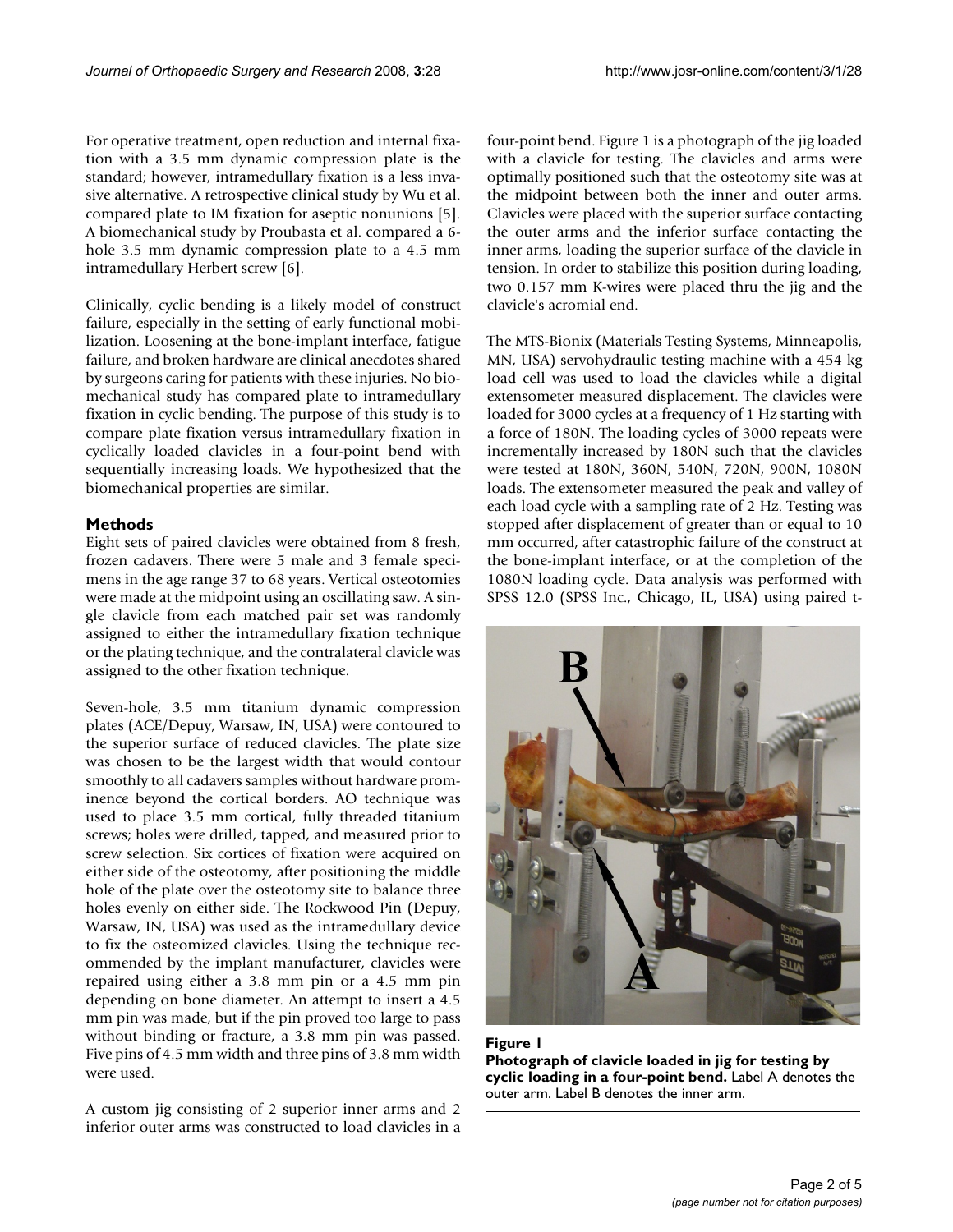For operative treatment, open reduction and internal fixation with a 3.5 mm dynamic compression plate is the standard; however, intramedullary fixation is a less invasive alternative. A retrospective clinical study by Wu et al. compared plate to IM fixation for aseptic nonunions [5]. A biomechanical study by Proubasta et al. compared a 6 hole 3.5 mm dynamic compression plate to a 4.5 mm intramedullary Herbert screw [6].

Clinically, cyclic bending is a likely model of construct failure, especially in the setting of early functional mobilization. Loosening at the bone-implant interface, fatigue failure, and broken hardware are clinical anecdotes shared by surgeons caring for patients with these injuries. No biomechanical study has compared plate to intramedullary fixation in cyclic bending. The purpose of this study is to compare plate fixation versus intramedullary fixation in cyclically loaded clavicles in a four-point bend with sequentially increasing loads. We hypothesized that the biomechanical properties are similar.

#### **Methods**

Eight sets of paired clavicles were obtained from 8 fresh, frozen cadavers. There were 5 male and 3 female specimens in the age range 37 to 68 years. Vertical osteotomies were made at the midpoint using an oscillating saw. A single clavicle from each matched pair set was randomly assigned to either the intramedullary fixation technique or the plating technique, and the contralateral clavicle was assigned to the other fixation technique.

Seven-hole, 3.5 mm titanium dynamic compression plates (ACE/Depuy, Warsaw, IN, USA) were contoured to the superior surface of reduced clavicles. The plate size was chosen to be the largest width that would contour smoothly to all cadavers samples without hardware prominence beyond the cortical borders. AO technique was used to place 3.5 mm cortical, fully threaded titanium screws; holes were drilled, tapped, and measured prior to screw selection. Six cortices of fixation were acquired on either side of the osteotomy, after positioning the middle hole of the plate over the osteotomy site to balance three holes evenly on either side. The Rockwood Pin (Depuy, Warsaw, IN, USA) was used as the intramedullary device to fix the osteomized clavicles. Using the technique recommended by the implant manufacturer, clavicles were repaired using either a 3.8 mm pin or a 4.5 mm pin depending on bone diameter. An attempt to insert a 4.5 mm pin was made, but if the pin proved too large to pass without binding or fracture, a 3.8 mm pin was passed. Five pins of 4.5 mm width and three pins of 3.8 mm width were used.

A custom jig consisting of 2 superior inner arms and 2 inferior outer arms was constructed to load clavicles in a four-point bend. Figure 1 is a photograph of the jig loaded with a clavicle for testing. The clavicles and arms were optimally positioned such that the osteotomy site was at the midpoint between both the inner and outer arms. Clavicles were placed with the superior surface contacting the outer arms and the inferior surface contacting the inner arms, loading the superior surface of the clavicle in tension. In order to stabilize this position during loading, two 0.157 mm K-wires were placed thru the jig and the clavicle's acromial end.

The MTS-Bionix (Materials Testing Systems, Minneapolis, MN, USA) servohydraulic testing machine with a 454 kg load cell was used to load the clavicles while a digital extensometer measured displacement. The clavicles were loaded for 3000 cycles at a frequency of 1 Hz starting with a force of 180N. The loading cycles of 3000 repeats were incrementally increased by 180N such that the clavicles were tested at 180N, 360N, 540N, 720N, 900N, 1080N loads. The extensometer measured the peak and valley of each load cycle with a sampling rate of 2 Hz. Testing was stopped after displacement of greater than or equal to 10 mm occurred, after catastrophic failure of the construct at the bone-implant interface, or at the completion of the 1080N loading cycle. Data analysis was performed with SPSS 12.0 (SPSS Inc., Chicago, IL, USA) using paired t-



**Figure 1 Photograph of clavicle loaded in jig for testing by cyclic loading in a four-point bend.** Label A denotes the outer arm. Label B denotes the inner arm.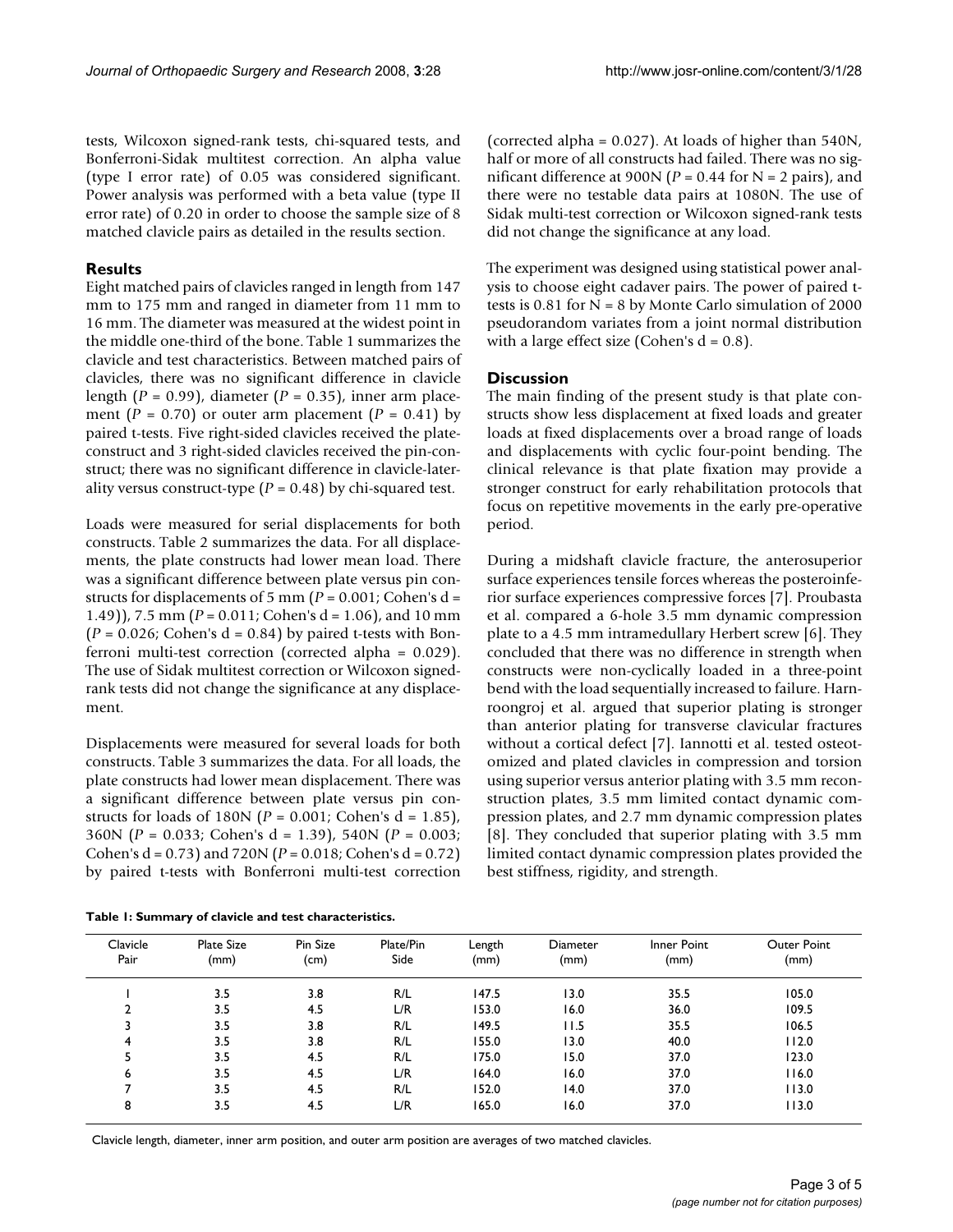tests, Wilcoxon signed-rank tests, chi-squared tests, and Bonferroni-Sidak multitest correction. An alpha value (type I error rate) of 0.05 was considered significant. Power analysis was performed with a beta value (type II error rate) of 0.20 in order to choose the sample size of 8 matched clavicle pairs as detailed in the results section.

#### **Results**

Eight matched pairs of clavicles ranged in length from 147 mm to 175 mm and ranged in diameter from 11 mm to 16 mm. The diameter was measured at the widest point in the middle one-third of the bone. Table 1 summarizes the clavicle and test characteristics. Between matched pairs of clavicles, there was no significant difference in clavicle length (*P* = 0.99), diameter (*P* = 0.35), inner arm placement ( $P = 0.70$ ) or outer arm placement ( $P = 0.41$ ) by paired t-tests. Five right-sided clavicles received the plateconstruct and 3 right-sided clavicles received the pin-construct; there was no significant difference in clavicle-laterality versus construct-type (*P* = 0.48) by chi-squared test.

Loads were measured for serial displacements for both constructs. Table 2 summarizes the data. For all displacements, the plate constructs had lower mean load. There was a significant difference between plate versus pin constructs for displacements of 5 mm (*P* = 0.001; Cohen's d = 1.49)), 7.5 mm (*P* = 0.011; Cohen's d = 1.06), and 10 mm  $(P = 0.026$ ; Cohen's  $d = 0.84$ ) by paired t-tests with Bonferroni multi-test correction (corrected alpha = 0.029). The use of Sidak multitest correction or Wilcoxon signedrank tests did not change the significance at any displacement.

Displacements were measured for several loads for both constructs. Table 3 summarizes the data. For all loads, the plate constructs had lower mean displacement. There was a significant difference between plate versus pin constructs for loads of 180N ( $P = 0.001$ ; Cohen's d = 1.85), 360N (*P* = 0.033; Cohen's d = 1.39), 540N (*P* = 0.003; Cohen's d = 0.73) and 720N (*P* = 0.018; Cohen's d = 0.72) by paired t-tests with Bonferroni multi-test correction

**Table 1: Summary of clavicle and test characteristics.**

(corrected alpha = 0.027). At loads of higher than 540N, half or more of all constructs had failed. There was no significant difference at 900N ( $P = 0.44$  for N = 2 pairs), and there were no testable data pairs at 1080N. The use of Sidak multi-test correction or Wilcoxon signed-rank tests did not change the significance at any load.

The experiment was designed using statistical power analysis to choose eight cadaver pairs. The power of paired ttests is  $0.81$  for  $N = 8$  by Monte Carlo simulation of 2000 pseudorandom variates from a joint normal distribution with a large effect size (Cohen's  $d = 0.8$ ).

#### **Discussion**

The main finding of the present study is that plate constructs show less displacement at fixed loads and greater loads at fixed displacements over a broad range of loads and displacements with cyclic four-point bending. The clinical relevance is that plate fixation may provide a stronger construct for early rehabilitation protocols that focus on repetitive movements in the early pre-operative period.

During a midshaft clavicle fracture, the anterosuperior surface experiences tensile forces whereas the posteroinferior surface experiences compressive forces [7]. Proubasta et al. compared a 6-hole 3.5 mm dynamic compression plate to a 4.5 mm intramedullary Herbert screw [6]. They concluded that there was no difference in strength when constructs were non-cyclically loaded in a three-point bend with the load sequentially increased to failure. Harnroongroj et al. argued that superior plating is stronger than anterior plating for transverse clavicular fractures without a cortical defect [7]. Iannotti et al. tested osteotomized and plated clavicles in compression and torsion using superior versus anterior plating with 3.5 mm reconstruction plates, 3.5 mm limited contact dynamic compression plates, and 2.7 mm dynamic compression plates [8]. They concluded that superior plating with 3.5 mm limited contact dynamic compression plates provided the best stiffness, rigidity, and strength.

| Clavicle<br>Pair | <b>Plate Size</b><br>(mm) | Pin Size<br>(cm) | Plate/Pin<br>Side | Length<br>(mm) | <b>Diameter</b><br>(mm) | Inner Point<br>(mm) | Outer Point<br>(mm) |
|------------------|---------------------------|------------------|-------------------|----------------|-------------------------|---------------------|---------------------|
|                  | 3.5                       | 3.8              | R/L               | 147.5          | 13.0                    | 35.5                | 105.0               |
|                  | 3.5                       | 4.5              | L/R               | 153.0          | 16.0                    | 36.0                | 109.5               |
|                  | 3.5                       | 3.8              | R/L               | 149.5          | l I.5                   | 35.5                | 106.5               |
| 4                | 3.5                       | 3.8              | R/L               | 155.0          | 13.0                    | 40.0                | 112.0               |
|                  | 3.5                       | 4.5              | R/L               | 175.0          | 15.0                    | 37.0                | 123.0               |
| 6                | 3.5                       | 4.5              | L/R               | 164.0          | 16.0                    | 37.0                | 116.0               |
| ⇁                | 3.5                       | 4.5              | R/L               | 152.0          | 14.0                    | 37.0                | 113.0               |
| 8                | 3.5                       | 4.5              | L/R               | 165.0          | 16.0                    | 37.0                | 113.0               |

Clavicle length, diameter, inner arm position, and outer arm position are averages of two matched clavicles.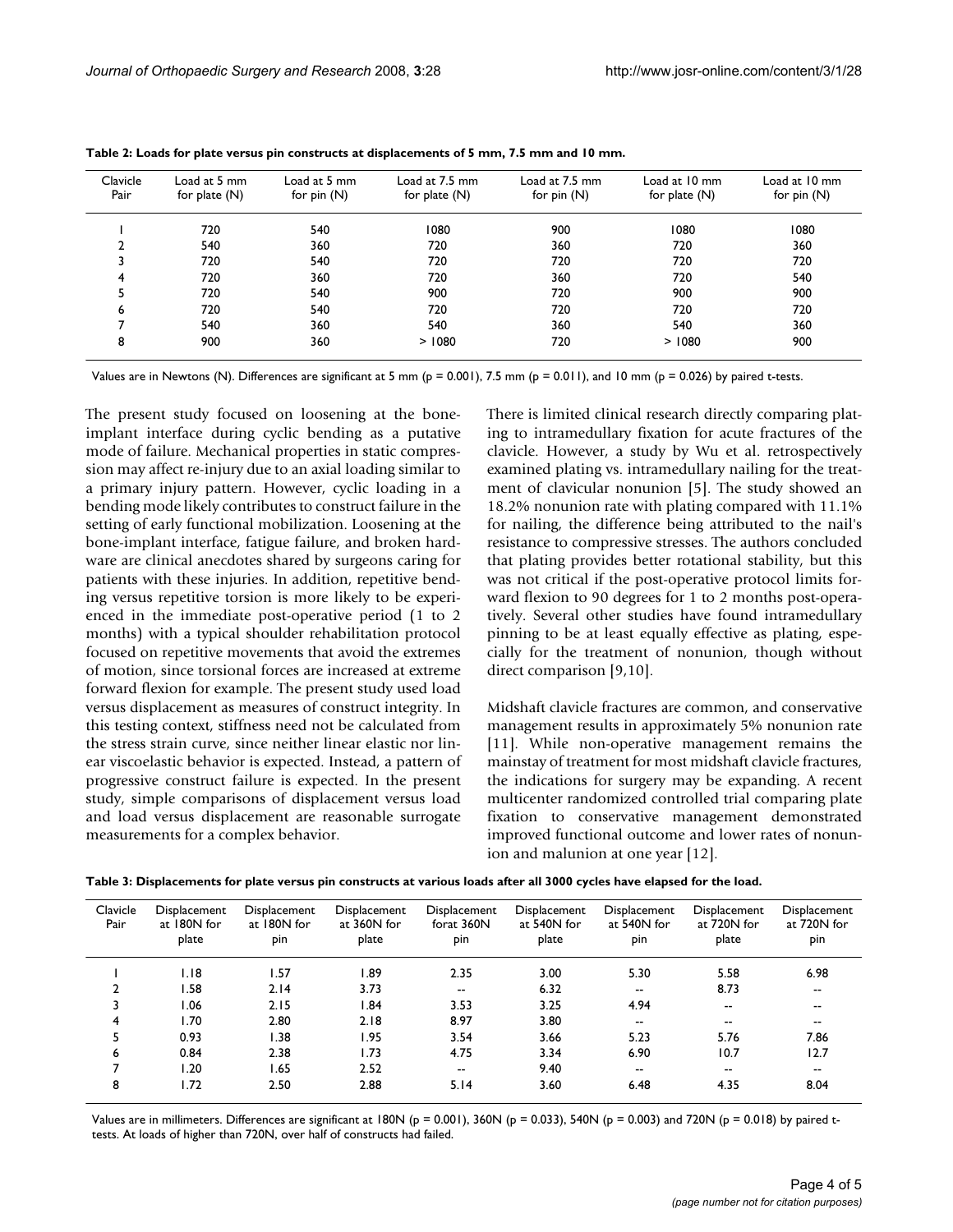| Clavicle<br>Pair | Load at 5 mm<br>for plate $(N)$ | Load at 5 mm<br>for $pin(N)$ | Load at 7.5 mm<br>for plate $(N)$ | Load at 7.5 mm<br>for $pin(N)$ | Load at 10 mm<br>for plate $(N)$ | Load at 10 mm<br>for $pin(N)$ |
|------------------|---------------------------------|------------------------------|-----------------------------------|--------------------------------|----------------------------------|-------------------------------|
|                  | 720                             | 540                          | 1080                              | 900                            | 1080                             | 1080                          |
| 2                | 540                             | 360                          | 720                               | 360                            | 720                              | 360                           |
|                  | 720                             | 540                          | 720                               | 720                            | 720                              | 720                           |
| 4                | 720                             | 360                          | 720                               | 360                            | 720                              | 540                           |
| 5                | 720                             | 540                          | 900                               | 720                            | 900                              | 900                           |
| 6                | 720                             | 540                          | 720                               | 720                            | 720                              | 720                           |
|                  | 540                             | 360                          | 540                               | 360                            | 540                              | 360                           |
| 8                | 900                             | 360                          | > 1080                            | 720                            | >1080                            | 900                           |

**Table 2: Loads for plate versus pin constructs at displacements of 5 mm, 7.5 mm and 10 mm.**

Values are in Newtons (N). Differences are significant at 5 mm ( $p = 0.001$ ), 7.5 mm ( $p = 0.011$ ), and 10 mm ( $p = 0.026$ ) by paired t-tests.

The present study focused on loosening at the boneimplant interface during cyclic bending as a putative mode of failure. Mechanical properties in static compression may affect re-injury due to an axial loading similar to a primary injury pattern. However, cyclic loading in a bending mode likely contributes to construct failure in the setting of early functional mobilization. Loosening at the bone-implant interface, fatigue failure, and broken hardware are clinical anecdotes shared by surgeons caring for patients with these injuries. In addition, repetitive bending versus repetitive torsion is more likely to be experienced in the immediate post-operative period (1 to 2 months) with a typical shoulder rehabilitation protocol focused on repetitive movements that avoid the extremes of motion, since torsional forces are increased at extreme forward flexion for example. The present study used load versus displacement as measures of construct integrity. In this testing context, stiffness need not be calculated from the stress strain curve, since neither linear elastic nor linear viscoelastic behavior is expected. Instead, a pattern of progressive construct failure is expected. In the present study, simple comparisons of displacement versus load and load versus displacement are reasonable surrogate measurements for a complex behavior.

There is limited clinical research directly comparing plating to intramedullary fixation for acute fractures of the clavicle. However, a study by Wu et al. retrospectively examined plating vs. intramedullary nailing for the treatment of clavicular nonunion [5]. The study showed an 18.2% nonunion rate with plating compared with 11.1% for nailing, the difference being attributed to the nail's resistance to compressive stresses. The authors concluded that plating provides better rotational stability, but this was not critical if the post-operative protocol limits forward flexion to 90 degrees for 1 to 2 months post-operatively. Several other studies have found intramedullary pinning to be at least equally effective as plating, especially for the treatment of nonunion, though without direct comparison [9,10].

Midshaft clavicle fractures are common, and conservative management results in approximately 5% nonunion rate [11]. While non-operative management remains the mainstay of treatment for most midshaft clavicle fractures, the indications for surgery may be expanding. A recent multicenter randomized controlled trial comparing plate fixation to conservative management demonstrated improved functional outcome and lower rates of nonunion and malunion at one year [12].

| Clavicle<br>Pair | Displacement<br>at 180N for<br>plate | Displacement<br>at 180N for<br>pin | Displacement<br>at 360N for<br>plate | Displacement<br>forat 360N<br>pin | Displacement<br>at 540N for<br>plate | Displacement<br>at 540N for<br>pin | Displacement<br>at 720N for<br>plate | Displacement<br>at 720N for<br>pin |
|------------------|--------------------------------------|------------------------------------|--------------------------------------|-----------------------------------|--------------------------------------|------------------------------------|--------------------------------------|------------------------------------|
|                  | 1.18                                 | 1.57                               | 89.ا                                 | 2.35                              | 3.00                                 | 5.30                               | 5.58                                 | 6.98                               |
| $\overline{2}$   | 1.58                                 | 2.14                               | 3.73                                 | --                                | 6.32                                 | $- -$                              | 8.73                                 | $\overline{\phantom{a}}$           |
| 3                | 1.06                                 | 2.15                               | l.84                                 | 3.53                              | 3.25                                 | 4.94                               | $- -$                                | --                                 |
| 4                | 1.70                                 | 2.80                               | 2.18                                 | 8.97                              | 3.80                                 | $- -$                              | $- -$                                | --                                 |
| 5                | 0.93                                 | 1.38                               | 1.95                                 | 3.54                              | 3.66                                 | 5.23                               | 5.76                                 | 7.86                               |
| 6                | 0.84                                 | 2.38                               | 1.73                                 | 4.75                              | 3.34                                 | 6.90                               | 10.7                                 | 12.7                               |
| ⇁                | 1.20                                 | 1.65                               | 2.52                                 | --                                | 9.40                                 | $- -$                              | $- -$                                | $\overline{\phantom{a}}$           |
| 8                | 1.72                                 | 2.50                               | 2.88                                 | 5.14                              | 3.60                                 | 6.48                               | 4.35                                 | 8.04                               |

Values are in millimeters. Differences are significant at 180N ( $p = 0.001$ ), 360N ( $p = 0.033$ ), 540N ( $p = 0.003$ ) and 720N ( $p = 0.018$ ) by paired ttests. At loads of higher than 720N, over half of constructs had failed.